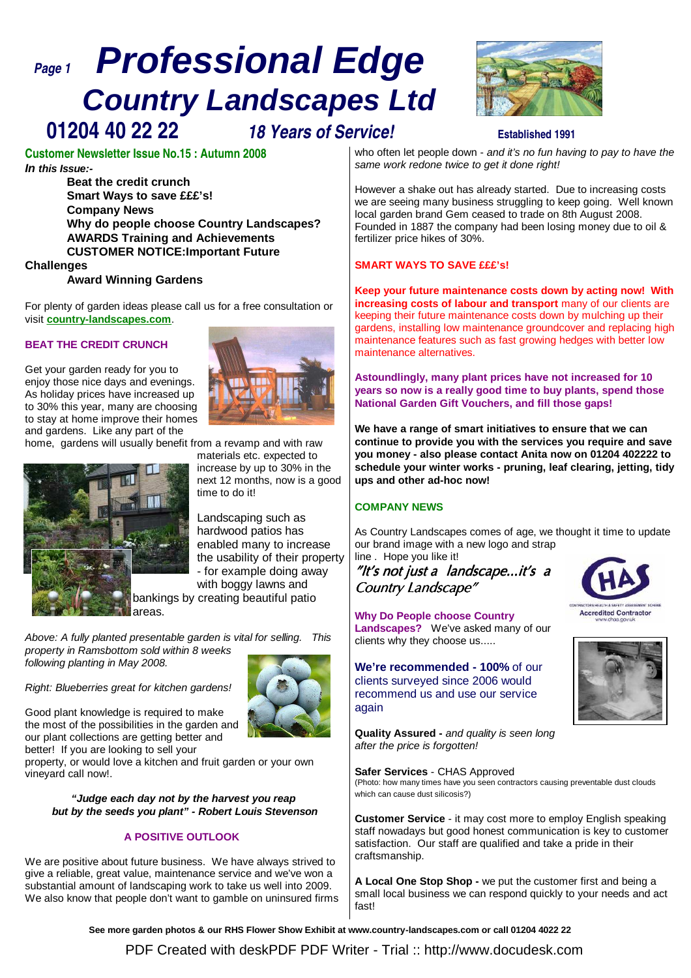# **Page 1 Professional Edge Country Landscapes Ltd 01204 40 22 22 18 Years of Service! Established 1991**



# **Customer Newsletter Issue No.15 : Autumn 2008 In this Issue:-**

**Beat the credit crunch Smart Ways to save £££'s! Company News Why do people choose Country Landscapes? AWARDS Training and Achievements CUSTOMER NOTICE:Important Future**

# **Challenges**

### **Award Winning Gardens**

For plenty of garden ideas please call us for a free consultation or visit **country-landscapes.com**.

# **BEAT THE CREDIT CRUNCH**

Get your garden ready for you to enjoy those nice days and evenings. As holiday prices have increased up to 30% this year, many are choosing to stay at home improve their homes and gardens. Like any part of the



home, gardens will usually benefit from a revamp and with raw



materials etc. expected to increase by up to 30% in the next 12 months, now is a good time to do it!

Landscaping such as hardwood patios has enabled many to increase the usability of their property - for example doing away with boggy lawns and

bankings by creating beautiful patio areas.

Above: A fully planted presentable garden is vital for selling. This property in Ramsbottom sold within 8 weeks following planting in May 2008.

Right: Blueberries great for kitchen gardens!

Good plant knowledge is required to make the most of the possibilities in the garden and our plant collections are getting better and better! If you are looking to sell your



property, or would love a kitchen and fruit garden or your own vineyard call now!.

**"Judge each day not by the harvest you reap but by the seeds you plant" - Robert Louis Stevenson**

# **A POSITIVE OUTLOOK**

We are positive about future business. We have always strived to give a reliable, great value, maintenance service and we've won a substantial amount of landscaping work to take us well into 2009. We also know that people don't want to gamble on uninsured firms

who often let people down - and it's no fun having to pay to have the same work redone twice to get it done right!

However a shake out has already started. Due to increasing costs we are seeing many business struggling to keep going. Well known local garden brand Gem ceased to trade on 8th August 2008. Founded in 1887 the company had been losing money due to oil & fertilizer price hikes of 30%.

# **SMART WAYS TO SAVE £££'s!**

**Keep your future maintenance costs down by acting now! With increasing costs of labour and transport** many of our clients are keeping their future maintenance costs down by mulching up their gardens, installing low maintenance groundcover and replacing high maintenance features such as fast growing hedges with better low maintenance alternatives.

**Astoundlingly, many plant prices have not increased for 10 years so now is a really good time to buy plants, spend those National Garden Gift Vouchers, and fill those gaps!**

**We have a range of smart initiatives to ensure that we can continue to provide you with the services you require and save you money - also please contact Anita now on 01204 402222 to schedule your winter works - pruning, leaf clearing, jetting, tidy ups and other ad-hoc now!**

# **COMPANY NEWS**

As Country Landscapes comes of age, we thought it time to update our brand image with a new logo and strap line . Hope you like it!

# "It's not just a landscape...it's <sup>a</sup> Country Landscape"



**We're recommended - 100%** of our clients surveyed since 2006 would recommend us and use our service again

**Quality Assured -** and quality is seen long after the price is forgotten!

#### **Safer Services** - CHAS Approved

(Photo: how many times have you seen contractors causing preventable dust clouds which can cause dust silicosis?)

**Customer Service** - it may cost more to employ English speaking staff nowadays but good honest communication is key to customer satisfaction. Our staff are qualified and take a pride in their craftsmanship.

**A Local One Stop Shop -** we put the customer first and being a small local business we can respond quickly to your needs and act fast!

**See more garden photos & our RHS Flower Show Exhibit at www.country-landscapes.com or call 01204 4022 22**

[PDF Created with deskPDF PDF Writer - Trial :: http://www.docudesk.com](http://www.docudesk.com)

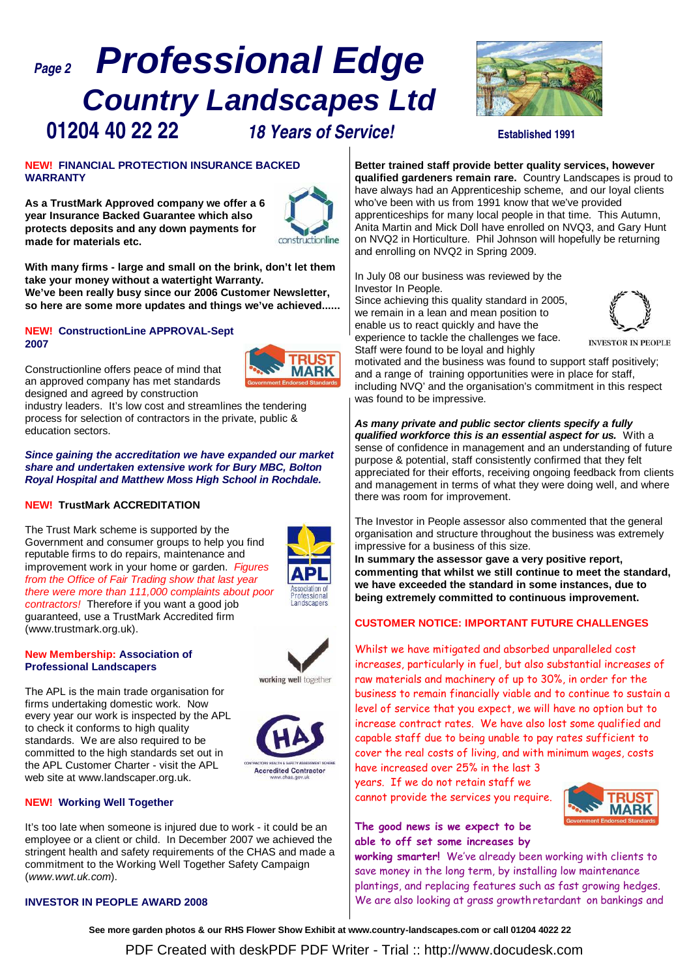# **Page 2 Professional Edge Country Landscapes Ltd 01204 40 22 22 18 Years of Service! Established 1991**



#### **NEW! FINANCIAL PROTECTION INSURANCE BACKED WARRANTY**

**As a TrustMark Approved company we offer a 6 year Insurance Backed Guarantee which also protects deposits and any down payments for made for materials etc.** 



TRI IS **MARK** 

**With many firms - large and small on the brink, don't let them take your money without a watertight Warranty. We've been really busy since our 2006 Customer Newsletter, so here are some more updates and things we've achieved......**

#### **NEW! ConstructionLine APPROVAL-Sept 2007**

Constructionline offers peace of mind that an approved company has met standards designed and agreed by construction

industry leaders. It's low cost and streamlines the tendering process for selection of contractors in the private, public & education sectors.

#### **Since gaining the accreditation we have expanded our market share and undertaken extensive work for Bury MBC, Bolton Royal Hospital and Matthew Moss High School in Rochdale.**

# **NEW! TrustMark ACCREDITATION**

The Trust Mark scheme is supported by the Government and consumer groups to help you find reputable firms to do repairs, maintenance and improvement work in your home or garden. Figures from the Office of Fair Trading show that last year there were more than 111,000 complaints about poor contractors! Therefore if you want a good job guaranteed, use a TrustMark Accredited firm (www.trustmark.org.uk).



### **New Membership: Association of Professional Landscapers**

The APL is the main trade organisation for firms undertaking domestic work. Now every year our work is inspected by the APL to check it conforms to high quality standards. We are also required to be committed to the high standards set out in the APL Customer Charter - visit the APL web site at www.landscaper.org.uk.





# **NEW! Working Well Together**

It's too late when someone is injured due to work - it could be an employee or a client or child. In December 2007 we achieved the stringent health and safety requirements of the CHAS and made a commitment to the Working Well Together Safety Campaign (www.wwt.uk.com).

#### **INVESTOR IN PEOPLE AWARD 2008**

**Better trained staff provide better quality services, however qualified gardeners remain rare.** Country Landscapes is proud to have always had an Apprenticeship scheme, and our loyal clients who've been with us from 1991 know that we've provided apprenticeships for many local people in that time. This Autumn, Anita Martin and Mick Doll have enrolled on NVQ3, and Gary Hunt on NVQ2 in Horticulture. Phil Johnson will hopefully be returning and enrolling on NVQ2 in Spring 2009.

In July 08 our business was reviewed by the Investor In People.

Since achieving this quality standard in 2005, we remain in a lean and mean position to enable us to react quickly and have the experience to tackle the challenges we face.



**INVESTOR IN PEOPLE** 

Staff were found to be loyal and highly motivated and the business was found to support staff positively; and a range of training opportunities were in place for staff, including NVQ' and the organisation's commitment in this respect was found to be impressive.

**As many private and public sector clients specify a fully qualified workforce this is an essential aspect for us.** With a sense of confidence in management and an understanding of future purpose & potential, staff consistently confirmed that they felt appreciated for their efforts, receiving ongoing feedback from clients and management in terms of what they were doing well, and where there was room for improvement.

The Investor in People assessor also commented that the general organisation and structure throughout the business was extremely impressive for a business of this size.

**In summary the assessor gave a very positive report, commenting that whilst we still continue to meet the standard, we have exceeded the standard in some instances, due to being extremely committed to continuous improvement.**

# **CUSTOMER NOTICE: IMPORTANT FUTURE CHALLENGES**

Whilst we have mitigated and absorbed unparalleled cost increases, particularly in fuel, but also substantial increases of raw materials and machinery of up to 30%, in order for the business to remain financially viable and to continue to sustain a level of service that you expect, we will have no option but to increase contract rates. We have also lost some qualified and capable staff due to being unable to pay rates sufficient to cover the real costs of living, and with minimum wages, costs have increased over 25% in the last 3

years. If we do not retain staff we cannot provide the services you require.



# The good news is we expect to be able to off set some increases by

working smarter! We've already been working with clients to save money in the long term, by installing low maintenance plantings, and replacing features such as fast growing hedges. We are also looking at grass growth retardant on bankings and

**See more garden photos & our RHS Flower Show Exhibit at www.country-landscapes.com or call 01204 4022 22**

PDF Created with deskPDF PDF Writer - Trial :: http://www.docudesk.com